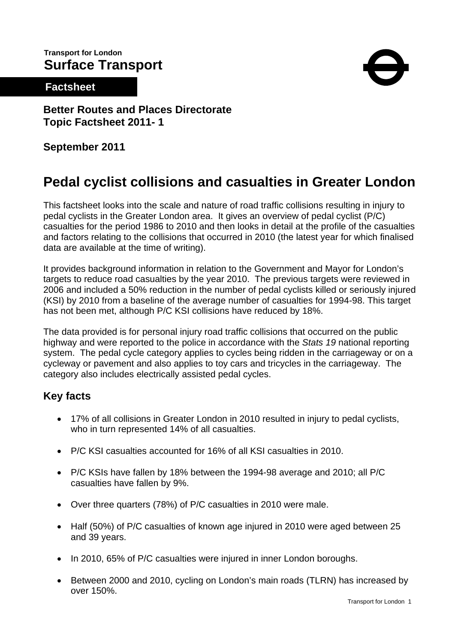# **Transport for London Surface Transport**

# **Factsheet**



**Better Routes and Places Directorate Topic Factsheet 2011- 1** 

**September 2011** 

# **Pedal cyclist collisions and casualties in Greater London**

This factsheet looks into the scale and nature of road traffic collisions resulting in injury to pedal cyclists in the Greater London area. It gives an overview of pedal cyclist (P/C) casualties for the period 1986 to 2010 and then looks in detail at the profile of the casualties and factors relating to the collisions that occurred in 2010 (the latest year for which finalised data are available at the time of writing).

It provides background information in relation to the Government and Mayor for London's targets to reduce road casualties by the year 2010. The previous targets were reviewed in 2006 and included a 50% reduction in the number of pedal cyclists killed or seriously injured (KSI) by 2010 from a baseline of the average number of casualties for 1994-98. This target has not been met, although P/C KSI collisions have reduced by 18%.

The data provided is for personal injury road traffic collisions that occurred on the public highway and were reported to the police in accordance with the *Stats 19* national reporting system. The pedal cycle category applies to cycles being ridden in the carriageway or on a cycleway or pavement and also applies to toy cars and tricycles in the carriageway. The category also includes electrically assisted pedal cycles.

# **Key facts**

- 17% of all collisions in Greater London in 2010 resulted in injury to pedal cyclists, who in turn represented 14% of all casualties.
- P/C KSI casualties accounted for 16% of all KSI casualties in 2010.
- P/C KSIs have fallen by 18% between the 1994-98 average and 2010; all P/C casualties have fallen by 9%.
- Over three quarters (78%) of P/C casualties in 2010 were male.
- Half (50%) of P/C casualties of known age injured in 2010 were aged between 25 and 39 years.
- In 2010, 65% of P/C casualties were injured in inner London boroughs.
- Between 2000 and 2010, cycling on London's main roads (TLRN) has increased by over 150%.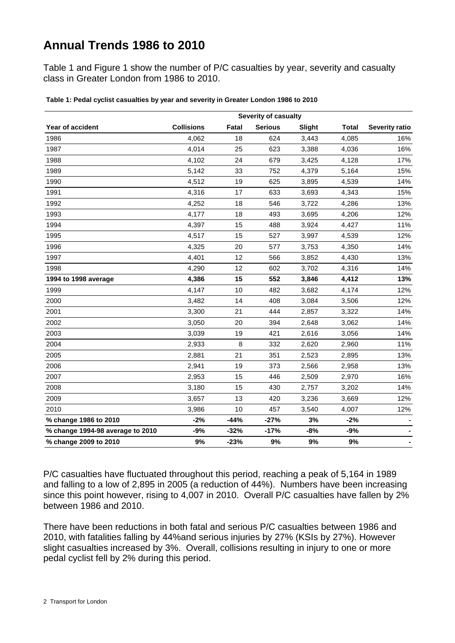# **Annual Trends 1986 to 2010**

Table 1 and Figure 1 show the number of P/C casualties by year, severity and casualty class in Greater London from 1986 to 2010.

|                                  | <b>Severity of casualty</b> |        |                |        |              |                       |  |  |  |  |  |
|----------------------------------|-----------------------------|--------|----------------|--------|--------------|-----------------------|--|--|--|--|--|
| Year of accident                 | <b>Collisions</b>           | Fatal  | <b>Serious</b> | Slight | <b>Total</b> | <b>Severity ratio</b> |  |  |  |  |  |
| 1986                             | 4,062                       | 18     | 624            | 3,443  | 4,085        | 16%                   |  |  |  |  |  |
| 1987                             | 4,014                       | 25     | 623            | 3,388  | 4,036        | 16%                   |  |  |  |  |  |
| 1988                             | 4,102                       | 24     | 679            | 3,425  | 4,128        | 17%                   |  |  |  |  |  |
| 1989                             | 5,142                       | 33     | 752            | 4,379  | 5,164        | 15%                   |  |  |  |  |  |
| 1990                             | 4,512                       | 19     | 625            | 3,895  | 4,539        | 14%                   |  |  |  |  |  |
| 1991                             | 4,316                       | 17     | 633            | 3,693  | 4,343        | 15%                   |  |  |  |  |  |
| 1992                             | 4,252                       | 18     | 546            | 3,722  | 4,286        | 13%                   |  |  |  |  |  |
| 1993                             | 4,177                       | 18     | 493            | 3,695  | 4,206        | 12%                   |  |  |  |  |  |
| 1994                             | 4,397                       | 15     | 488            | 3,924  | 4,427        | 11%                   |  |  |  |  |  |
| 1995                             | 4,517                       | 15     | 527            | 3,997  | 4,539        | 12%                   |  |  |  |  |  |
| 1996                             | 4,325                       | 20     | 577            | 3,753  | 4,350        | 14%                   |  |  |  |  |  |
| 1997                             | 4,401                       | 12     | 566            | 3,852  | 4,430        | 13%                   |  |  |  |  |  |
| 1998                             | 4,290                       | 12     | 602            | 3,702  | 4,316        | 14%                   |  |  |  |  |  |
| 1994 to 1998 average             | 4,386                       | 15     | 552            | 3,846  | 4,412        | 13%                   |  |  |  |  |  |
| 1999                             | 4,147                       | 10     | 482            | 3,682  | 4,174        | 12%                   |  |  |  |  |  |
| 2000                             | 3,482                       | 14     | 408            | 3,084  | 3,506        | 12%                   |  |  |  |  |  |
| 2001                             | 3,300                       | 21     | 444            | 2,857  | 3,322        | 14%                   |  |  |  |  |  |
| 2002                             | 3,050                       | 20     | 394            | 2,648  | 3,062        | 14%                   |  |  |  |  |  |
| 2003                             | 3,039                       | 19     | 421            | 2,616  | 3,056        | 14%                   |  |  |  |  |  |
| 2004                             | 2,933                       | 8      | 332            | 2,620  | 2,960        | 11%                   |  |  |  |  |  |
| 2005                             | 2,881                       | 21     | 351            | 2,523  | 2,895        | 13%                   |  |  |  |  |  |
| 2006                             | 2,941                       | 19     | 373            | 2,566  | 2,958        | 13%                   |  |  |  |  |  |
| 2007                             | 2,953                       | 15     | 446            | 2,509  | 2,970        | 16%                   |  |  |  |  |  |
| 2008                             | 3,180                       | 15     | 430            | 2,757  | 3,202        | 14%                   |  |  |  |  |  |
| 2009                             | 3,657                       | 13     | 420            | 3,236  | 3,669        | 12%                   |  |  |  |  |  |
| 2010                             | 3,986                       | 10     | 457            | 3,540  | 4,007        | 12%                   |  |  |  |  |  |
| % change 1986 to 2010            | $-2%$                       | $-44%$ | $-27%$         | 3%     | $-2%$        |                       |  |  |  |  |  |
| % change 1994-98 average to 2010 | $-9%$                       | $-32%$ | $-17%$         | $-8%$  | $-9%$        |                       |  |  |  |  |  |
| % change 2009 to 2010            | 9%                          | $-23%$ | 9%             | 9%     | 9%           | $\blacksquare$        |  |  |  |  |  |

**Table 1: Pedal cyclist casualties by year and severity in Greater London 1986 to 2010**

P/C casualties have fluctuated throughout this period, reaching a peak of 5,164 in 1989 and falling to a low of 2,895 in 2005 (a reduction of 44%). Numbers have been increasing since this point however, rising to 4,007 in 2010. Overall P/C casualties have fallen by 2% between 1986 and 2010.

There have been reductions in both fatal and serious P/C casualties between 1986 and 2010, with fatalities falling by 44%and serious injuries by 27% (KSIs by 27%). However slight casualties increased by 3%. Overall, collisions resulting in injury to one or more pedal cyclist fell by 2% during this period.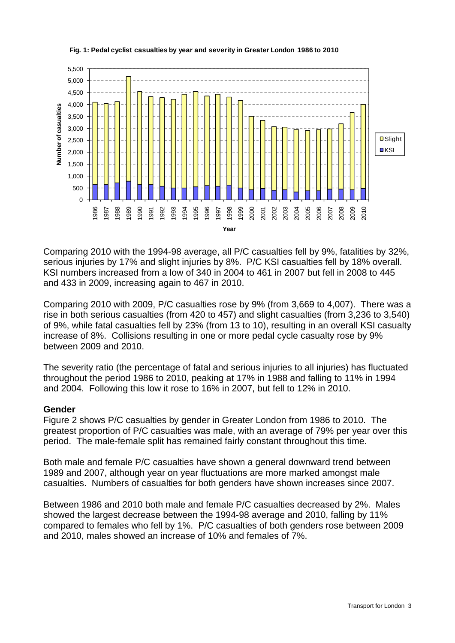

#### **Fig. 1: Pedal cyclist casualties by year and severity in Greater London 1986 to 2010**

Comparing 2010 with the 1994-98 average, all P/C casualties fell by 9%, fatalities by 32%, serious injuries by 17% and slight injuries by 8%. P/C KSI casualties fell by 18% overall. KSI numbers increased from a low of 340 in 2004 to 461 in 2007 but fell in 2008 to 445 and 433 in 2009, increasing again to 467 in 2010.

Comparing 2010 with 2009, P/C casualties rose by 9% (from 3,669 to 4,007). There was a rise in both serious casualties (from 420 to 457) and slight casualties (from 3,236 to 3,540) of 9%, while fatal casualties fell by 23% (from 13 to 10), resulting in an overall KSI casualty increase of 8%. Collisions resulting in one or more pedal cycle casualty rose by 9% between 2009 and 2010.

The severity ratio (the percentage of fatal and serious injuries to all injuries) has fluctuated throughout the period 1986 to 2010, peaking at 17% in 1988 and falling to 11% in 1994 and 2004. Following this low it rose to 16% in 2007, but fell to 12% in 2010.

#### **Gender**

Figure 2 shows P/C casualties by gender in Greater London from 1986 to 2010. The greatest proportion of P/C casualties was male, with an average of 79% per year over this period. The male-female split has remained fairly constant throughout this time.

Both male and female P/C casualties have shown a general downward trend between 1989 and 2007, although year on year fluctuations are more marked amongst male casualties. Numbers of casualties for both genders have shown increases since 2007.

Between 1986 and 2010 both male and female P/C casualties decreased by 2%. Males showed the largest decrease between the 1994-98 average and 2010, falling by 11% compared to females who fell by 1%. P/C casualties of both genders rose between 2009 and 2010, males showed an increase of 10% and females of 7%.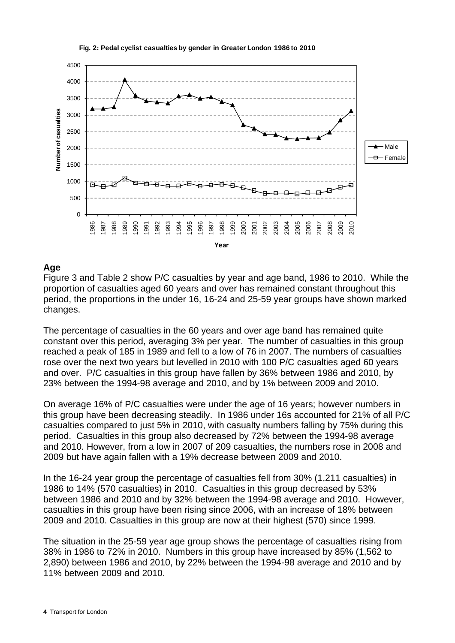

#### **Fig. 2: Pedal cyclist casualties by gender in Greater London 1986 to 2010**

### **Age**

Figure 3 and Table 2 show P/C casualties by year and age band, 1986 to 2010. While the proportion of casualties aged 60 years and over has remained constant throughout this period, the proportions in the under 16, 16-24 and 25-59 year groups have shown marked changes.

The percentage of casualties in the 60 years and over age band has remained quite constant over this period, averaging 3% per year. The number of casualties in this group reached a peak of 185 in 1989 and fell to a low of 76 in 2007. The numbers of casualties rose over the next two years but levelled in 2010 with 100 P/C casualties aged 60 years and over. P/C casualties in this group have fallen by 36% between 1986 and 2010, by 23% between the 1994-98 average and 2010, and by 1% between 2009 and 2010.

On average 16% of P/C casualties were under the age of 16 years; however numbers in this group have been decreasing steadily. In 1986 under 16s accounted for 21% of all P/C casualties compared to just 5% in 2010, with casualty numbers falling by 75% during this period. Casualties in this group also decreased by 72% between the 1994-98 average and 2010. However, from a low in 2007 of 209 casualties, the numbers rose in 2008 and 2009 but have again fallen with a 19% decrease between 2009 and 2010.

In the 16-24 year group the percentage of casualties fell from 30% (1,211 casualties) in 1986 to 14% (570 casualties) in 2010. Casualties in this group decreased by 53% between 1986 and 2010 and by 32% between the 1994-98 average and 2010. However, casualties in this group have been rising since 2006, with an increase of 18% between 2009 and 2010. Casualties in this group are now at their highest (570) since 1999.

The situation in the 25-59 year age group shows the percentage of casualties rising from 38% in 1986 to 72% in 2010. Numbers in this group have increased by 85% (1,562 to 2,890) between 1986 and 2010, by 22% between the 1994-98 average and 2010 and by 11% between 2009 and 2010.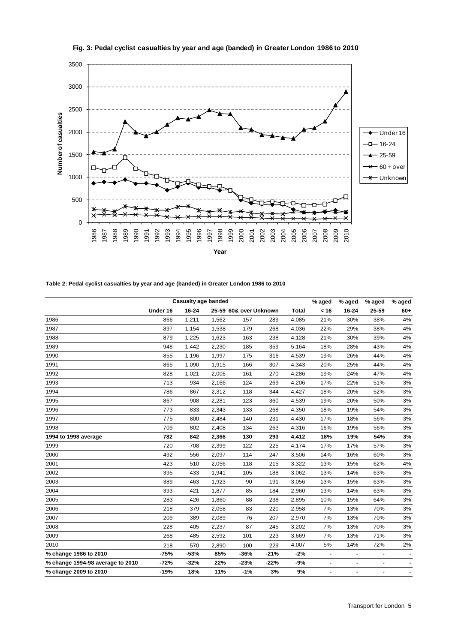

**Fig. 3: Pedal cyclist casualties by year and age (banded) in Greater London 1986 to 2010**

**Table 2: Pedal cyclist casualties by year and age (banded) in Greater London 1986 to 2010**

|                                  |          | <b>Casualty age banded</b> |       |                        |        |              | % aged         | % aged         | % aged | % aged         |
|----------------------------------|----------|----------------------------|-------|------------------------|--------|--------------|----------------|----------------|--------|----------------|
|                                  | Under 16 | 16-24                      |       | 25-59 60& over Unknown |        | <b>Total</b> | < 16           | 16-24          | 25-59  | $60+$          |
| 1986                             | 866      | 1,211                      | 1,562 | 157                    | 289    | 4,085        | 21%            | 30%            | 38%    | 4%             |
| 1987                             | 897      | 1,154                      | 1,538 | 179                    | 268    | 4,036        | 22%            | 29%            | 38%    | 4%             |
| 1988                             | 879      | 1,225                      | 1,623 | 163                    | 238    | 4,128        | 21%            | 30%            | 39%    | 4%             |
| 1989                             | 948      | 1,442                      | 2,230 | 185                    | 359    | 5,164        | 18%            | 28%            | 43%    | 4%             |
| 1990                             | 855      | 1,196                      | 1,997 | 175                    | 316    | 4,539        | 19%            | 26%            | 44%    | 4%             |
| 1991                             | 865      | 1,090                      | 1,915 | 166                    | 307    | 4,343        | 20%            | 25%            | 44%    | 4%             |
| 1992                             | 828      | 1,021                      | 2,006 | 161                    | 270    | 4,286        | 19%            | 24%            | 47%    | 4%             |
| 1993                             | 713      | 934                        | 2,166 | 124                    | 269    | 4,206        | 17%            | 22%            | 51%    | 3%             |
| 1994                             | 786      | 867                        | 2,312 | 118                    | 344    | 4,427        | 18%            | 20%            | 52%    | 3%             |
| 1995                             | 867      | 908                        | 2,281 | 123                    | 360    | 4,539        | 19%            | 20%            | 50%    | 3%             |
| 1996                             | 773      | 833                        | 2,343 | 133                    | 268    | 4,350        | 18%            | 19%            | 54%    | 3%             |
| 1997                             | 775      | 800                        | 2,484 | 140                    | 231    | 4,430        | 17%            | 18%            | 56%    | 3%             |
| 1998                             | 709      | 802                        | 2,408 | 134                    | 263    | 4,316        | 16%            | 19%            | 56%    | 3%             |
| 1994 to 1998 average             | 782      | 842                        | 2,366 | 130                    | 293    | 4,412        | 18%            | 19%            | 54%    | 3%             |
| 1999                             | 720      | 708                        | 2,399 | 122                    | 225    | 4,174        | 17%            | 17%            | 57%    | 3%             |
| 2000                             | 492      | 556                        | 2,097 | 114                    | 247    | 3,506        | 14%            | 16%            | 60%    | 3%             |
| 2001                             | 423      | 510                        | 2,056 | 118                    | 215    | 3,322        | 13%            | 15%            | 62%    | 4%             |
| 2002                             | 395      | 433                        | 1,941 | 105                    | 188    | 3,062        | 13%            | 14%            | 63%    | 3%             |
| 2003                             | 389      | 463                        | 1,923 | 90                     | 191    | 3,056        | 13%            | 15%            | 63%    | 3%             |
| 2004                             | 393      | 421                        | 1,877 | 85                     | 184    | 2,960        | 13%            | 14%            | 63%    | 3%             |
| 2005                             | 283      | 426                        | 1,860 | 88                     | 238    | 2,895        | 10%            | 15%            | 64%    | 3%             |
| 2006                             | 218      | 379                        | 2,058 | 83                     | 220    | 2,958        | 7%             | 13%            | 70%    | 3%             |
| 2007                             | 209      | 389                        | 2,089 | 76                     | 207    | 2,970        | 7%             | 13%            | 70%    | 3%             |
| 2008                             | 228      | 405                        | 2,237 | 87                     | 245    | 3,202        | 7%             | 13%            | 70%    | 3%             |
| 2009                             | 268      | 485                        | 2,592 | 101                    | 223    | 3,669        | 7%             | 13%            | 71%    | 3%             |
| 2010                             | 218      | 570                        | 2,890 | 100                    | 229    | 4,007        | 5%             | 14%            | 72%    | 2%             |
| % change 1986 to 2010            | $-75%$   | $-53%$                     | 85%   | $-36%$                 | $-21%$ | $-2%$        | ÷              | $\blacksquare$ | ٠      |                |
| % change 1994-98 average to 2010 | $-72%$   | $-32%$                     | 22%   | $-23%$                 | $-22%$ | $-9%$        | $\blacksquare$ | $\blacksquare$ | ٠      | $\blacksquare$ |
| % change 2009 to 2010            | $-19%$   | 18%                        | 11%   | $-1%$                  | 3%     | 9%           | ٠              | ٠              | ٠      |                |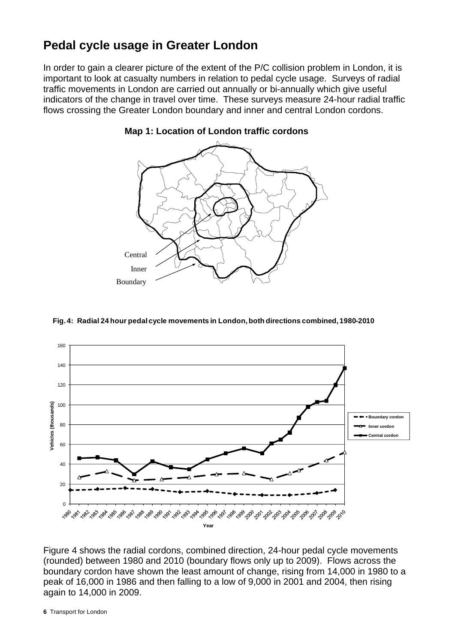# **Pedal cycle usage in Greater London**

In order to gain a clearer picture of the extent of the P/C collision problem in London, it is important to look at casualty numbers in relation to pedal cycle usage. Surveys of radial traffic movements in London are carried out annually or bi-annually which give useful indicators of the change in travel over time. These surveys measure 24-hour radial traffic flows crossing the Greater London boundary and inner and central London cordons.



#### **Map 1: Location of London traffic cordons**

#### **Fig. 4: Radial 24 hour pedal cycle movements in London, both directions combined, 1980-2010**



Figure 4 shows the radial cordons, combined direction, 24-hour pedal cycle movements (rounded) between 1980 and 2010 (boundary flows only up to 2009). Flows across the boundary cordon have shown the least amount of change, rising from 14,000 in 1980 to a peak of 16,000 in 1986 and then falling to a low of 9,000 in 2001 and 2004, then rising again to 14,000 in 2009.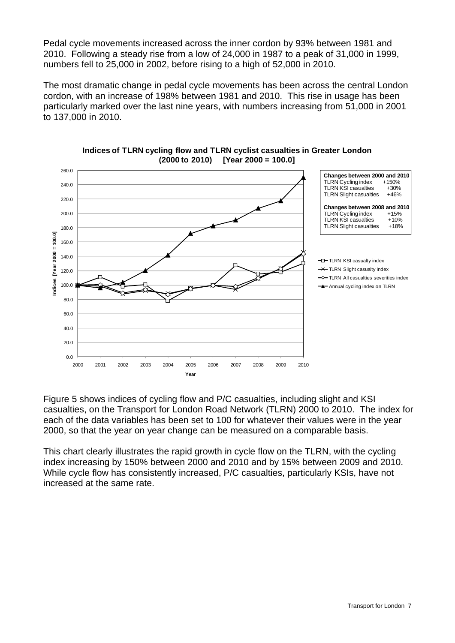Pedal cycle movements increased across the inner cordon by 93% between 1981 and 2010. Following a steady rise from a low of 24,000 in 1987 to a peak of 31,000 in 1999, numbers fell to 25,000 in 2002, before rising to a high of 52,000 in 2010.

The most dramatic change in pedal cycle movements has been across the central London cordon, with an increase of 198% between 1981 and 2010. This rise in usage has been particularly marked over the last nine years, with numbers increasing from 51,000 in 2001 to 137,000 in 2010.





Figure 5 shows indices of cycling flow and P/C casualties, including slight and KSI casualties, on the Transport for London Road Network (TLRN) 2000 to 2010. The index for each of the data variables has been set to 100 for whatever their values were in the year 2000, so that the year on year change can be measured on a comparable basis.

This chart clearly illustrates the rapid growth in cycle flow on the TLRN, with the cycling index increasing by 150% between 2000 and 2010 and by 15% between 2009 and 2010. While cycle flow has consistently increased, P/C casualties, particularly KSIs, have not increased at the same rate.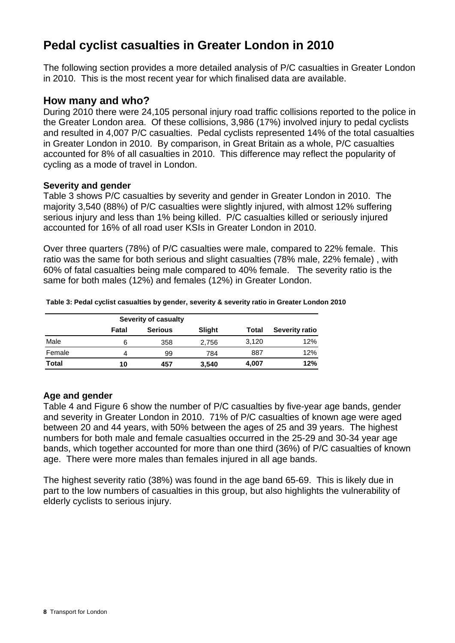# **Pedal cyclist casualties in Greater London in 2010**

The following section provides a more detailed analysis of P/C casualties in Greater London in 2010. This is the most recent year for which finalised data are available.

# **How many and who?**

During 2010 there were 24,105 personal injury road traffic collisions reported to the police in the Greater London area. Of these collisions, 3,986 (17%) involved injury to pedal cyclists and resulted in 4,007 P/C casualties. Pedal cyclists represented 14% of the total casualties in Greater London in 2010. By comparison, in Great Britain as a whole, P/C casualties accounted for 8% of all casualties in 2010. This difference may reflect the popularity of cycling as a mode of travel in London.

### **Severity and gender**

Table 3 shows P/C casualties by severity and gender in Greater London in 2010. The majority 3,540 (88%) of P/C casualties were slightly injured, with almost 12% suffering serious injury and less than 1% being killed. P/C casualties killed or seriously injured accounted for 16% of all road user KSIs in Greater London in 2010.

Over three quarters (78%) of P/C casualties were male, compared to 22% female. This ratio was the same for both serious and slight casualties (78% male, 22% female) , with 60% of fatal casualties being male compared to 40% female. The severity ratio is the same for both males (12%) and females (12%) in Greater London.

|              |       | Severity of casualty |        |       |                       |
|--------------|-------|----------------------|--------|-------|-----------------------|
|              | Fatal | <b>Serious</b>       | Slight | Total | <b>Severity ratio</b> |
| Male         | 6     | 358                  | 2,756  | 3,120 | 12%                   |
| Female       | 4     | 99                   | 784    | 887   | 12%                   |
| <b>Total</b> | 10    | 457                  | 3,540  | 4,007 | 12%                   |

**Table 3: Pedal cyclist casualties by gender, severity & severity ratio in Greater London 2010**

## **Age and gender**

Table 4 and Figure 6 show the number of P/C casualties by five-year age bands, gender and severity in Greater London in 2010. 71% of P/C casualties of known age were aged between 20 and 44 years, with 50% between the ages of 25 and 39 years. The highest numbers for both male and female casualties occurred in the 25-29 and 30-34 year age bands, which together accounted for more than one third (36%) of P/C casualties of known age. There were more males than females injured in all age bands.

The highest severity ratio (38%) was found in the age band 65-69. This is likely due in part to the low numbers of casualties in this group, but also highlights the vulnerability of elderly cyclists to serious injury.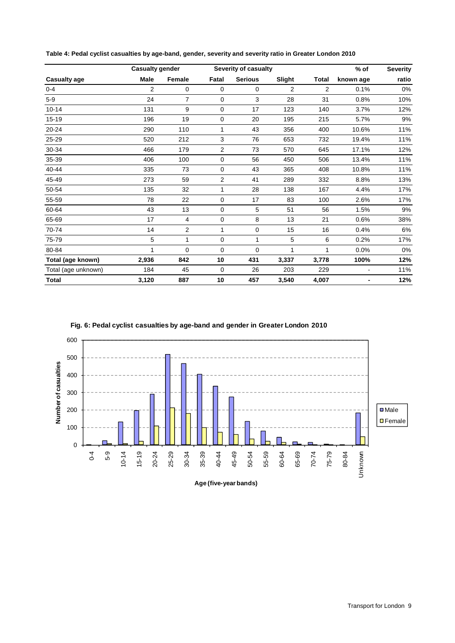| <b>Casualty gender</b><br>Severity of casualty |                |                |       |                |                |              | $%$ of    | <b>Severity</b> |
|------------------------------------------------|----------------|----------------|-------|----------------|----------------|--------------|-----------|-----------------|
| <b>Casualty age</b>                            | <b>Male</b>    | Female         | Fatal | <b>Serious</b> | Slight         | <b>Total</b> | known age | ratio           |
| $0-4$                                          | $\overline{2}$ | $\mathbf 0$    | 0     | 0              | $\overline{2}$ | 2            | 0.1%      | 0%              |
| $5-9$                                          | 24             | $\overline{7}$ | 0     | 3              | 28             | 31           | 0.8%      | 10%             |
| $10 - 14$                                      | 131            | 9              | 0     | 17             | 123            | 140          | 3.7%      | 12%             |
| $15 - 19$                                      | 196            | 19             | 0     | 20             | 195            | 215          | 5.7%      | 9%              |
| $20 - 24$                                      | 290            | 110            | 1     | 43             | 356            | 400          | 10.6%     | 11%             |
| 25-29                                          | 520            | 212            | 3     | 76             | 653            | 732          | 19.4%     | 11%             |
| 30-34                                          | 466            | 179            | 2     | 73             | 570            | 645          | 17.1%     | 12%             |
| 35-39                                          | 406            | 100            | 0     | 56             | 450            | 506          | 13.4%     | 11%             |
| 40-44                                          | 335            | 73             | 0     | 43             | 365            | 408          | 10.8%     | 11%             |
| 45-49                                          | 273            | 59             | 2     | 41             | 289            | 332          | 8.8%      | 13%             |
| 50-54                                          | 135            | 32             | 1     | 28             | 138            | 167          | 4.4%      | 17%             |
| 55-59                                          | 78             | 22             | 0     | 17             | 83             | 100          | 2.6%      | 17%             |
| 60-64                                          | 43             | 13             | 0     | 5              | 51             | 56           | 1.5%      | 9%              |
| 65-69                                          | 17             | $\overline{4}$ | 0     | 8              | 13             | 21           | 0.6%      | 38%             |
| 70-74                                          | 14             | $\overline{2}$ | 1     | $\mathbf 0$    | 15             | 16           | 0.4%      | 6%              |
| 75-79                                          | 5              | 1              | 0     | 1              | 5              | 6            | 0.2%      | 17%             |
| 80-84                                          | 1              | 0              | 0     | 0              | 1              | 1            | 0.0%      | 0%              |
| Total (age known)                              | 2,936          | 842            | 10    | 431            | 3,337          | 3,778        | 100%      | 12%             |
| Total (age unknown)                            | 184            | 45             | 0     | 26             | 203            | 229          |           | 11%             |
| <b>Total</b>                                   | 3,120          | 887            | 10    | 457            | 3,540          | 4,007        | ۰         | 12%             |

**Table 4: Pedal cyclist casualties by age-band, gender, severity and severity ratio in Greater London 2010**



**Fig. 6: Pedal cyclist casualties by age-band and gender in Greater London 2010**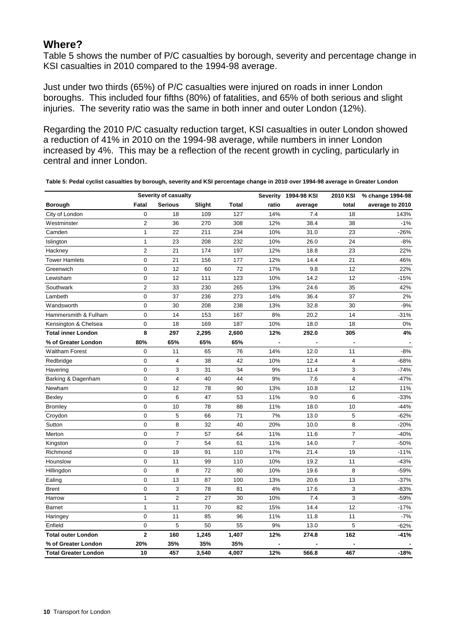# **Where?**

Table 5 shows the number of P/C casualties by borough, severity and percentage change in KSI casualties in 2010 compared to the 1994-98 average.

Just under two thirds (65%) of P/C casualties were injured on roads in inner London boroughs. This included four fifths (80%) of fatalities, and 65% of both serious and slight injuries. The severity ratio was the same in both inner and outer London (12%).

Regarding the 2010 P/C casualty reduction target, KSI casualties in outer London showed a reduction of 41% in 2010 on the 1994-98 average, while numbers in inner London increased by 4%. This may be a reflection of the recent growth in cycling, particularly in central and inner London.

|                             |                         | Severity of casualty    |        |              | Severity | 1994-98 KSI | 2010 KSI       | % change 1994-98 |
|-----------------------------|-------------------------|-------------------------|--------|--------------|----------|-------------|----------------|------------------|
| <b>Borough</b>              | Fatal                   | <b>Serious</b>          | Slight | <b>Total</b> | ratio    | average     | total          | average to 2010  |
| City of London              | $\mathbf 0$             | 18                      | 109    | 127          | 14%      | 7.4         | 18             | 143%             |
| Westminster                 | $\overline{\mathbf{c}}$ | 36                      | 270    | 308          | 12%      | 38.4        | 38             | $-1%$            |
| Camden                      | $\mathbf{1}$            | 22                      | 211    | 234          | 10%      | 31.0        | 23             | -26%             |
| Islington                   | 1                       | 23                      | 208    | 232          | 10%      | 26.0        | 24             | $-8%$            |
| Hackney                     | $\overline{2}$          | 21                      | 174    | 197          | 12%      | 18.8        | 23             | 22%              |
| <b>Tower Hamlets</b>        | 0                       | 21                      | 156    | 177          | 12%      | 14.4        | 21             | 46%              |
| Greenwich                   | $\mathbf 0$             | 12                      | 60     | 72           | 17%      | 9.8         | 12             | 22%              |
| Lewisham                    | 0                       | 12                      | 111    | 123          | 10%      | 14.2        | 12             | $-15%$           |
| Southwark                   | $\overline{2}$          | 33                      | 230    | 265          | 13%      | 24.6        | 35             | 42%              |
| Lambeth                     | $\mathbf 0$             | 37                      | 236    | 273          | 14%      | 36.4        | 37             | 2%               |
| Wandsworth                  | $\mathbf 0$             | 30                      | 208    | 238          | 13%      | 32.8        | 30             | $-9%$            |
| Hammersmith & Fulham        | 0                       | 14                      | 153    | 167          | 8%       | 20.2        | 14             | $-31%$           |
| Kensington & Chelsea        | 0                       | 18                      | 169    | 187          | 10%      | 18.0        | 18             | 0%               |
| <b>Total inner London</b>   | 8                       | 297                     | 2,295  | 2,600        | 12%      | 292.0       | 305            | 4%               |
| % of Greater London         | 80%                     | 65%                     | 65%    | 65%          |          |             |                |                  |
| <b>Waltham Forest</b>       | 0                       | 11                      | 65     | 76           | 14%      | 12.0        | 11             | $-8%$            |
| Redbridge                   | $\mathbf 0$             | 4                       | 38     | 42           | 10%      | 12.4        | $\overline{4}$ | $-68%$           |
| Havering                    | $\mathbf 0$             | 3                       | 31     | 34           | 9%       | 11.4        | 3              | $-74%$           |
| Barking & Dagenham          | $\mathbf 0$             | $\overline{\mathbf{4}}$ | 40     | 44           | 9%       | 7.6         | $\overline{4}$ | $-47%$           |
| Newham                      | $\mathbf 0$             | 12                      | 78     | 90           | 13%      | 10.8        | 12             | 11%              |
| Bexley                      | $\mathbf 0$             | 6                       | 47     | 53           | 11%      | 9.0         | 6              | $-33%$           |
| <b>Bromley</b>              | $\mathbf 0$             | 10                      | 78     | 88           | 11%      | 18.0        | 10             | $-44%$           |
| Croydon                     | $\overline{0}$          | 5                       | 66     | 71           | 7%       | 13.0        | 5              | $-62%$           |
| Sutton                      | $\mathbf 0$             | 8                       | 32     | 40           | 20%      | 10.0        | 8              | $-20%$           |
| Merton                      | $\mathbf 0$             | $\overline{7}$          | 57     | 64           | 11%      | 11.6        | $\overline{7}$ | $-40%$           |
| Kingston                    | 0                       | $\overline{7}$          | 54     | 61           | 11%      | 14.0        | $\overline{7}$ | $-50%$           |
| Richmond                    | $\mathbf 0$             | 19                      | 91     | 110          | 17%      | 21.4        | 19             | $-11%$           |
| Hounslow                    | $\mathbf 0$             | 11                      | 99     | 110          | 10%      | 19.2        | 11             | $-43%$           |
| Hillingdon                  | 0                       | 8                       | 72     | 80           | 10%      | 19.6        | 8              | -59%             |
| Ealing                      | $\mathbf 0$             | 13                      | 87     | 100          | 13%      | 20.6        | 13             | $-37%$           |
| <b>Brent</b>                | $\mathbf 0$             | 3                       | 78     | 81           | 4%       | 17.6        | 3              | $-83%$           |
| Harrow                      | $\mathbf{1}$            | $\overline{2}$          | 27     | 30           | 10%      | 7.4         | 3              | $-59%$           |
| <b>Barnet</b>               | 1                       | 11                      | 70     | 82           | 15%      | 14.4        | 12             | $-17%$           |
| Haringey                    | $\mathbf 0$             | 11                      | 85     | 96           | 11%      | 11.8        | 11             | $-7%$            |
| Enfield                     | 0                       | 5                       | 50     | 55           | 9%       | 13.0        | 5              | $-62%$           |
| <b>Total outer London</b>   | $\overline{\mathbf{2}}$ | 160                     | 1,245  | 1,407        | 12%      | 274.8       | 162            | $-41%$           |
| % of Greater London         | 20%                     | 35%                     | 35%    | 35%          |          |             |                |                  |
| <b>Total Greater London</b> | 10                      | 457                     | 3,540  | 4,007        | 12%      | 566.8       | 467            | $-18%$           |

**Table 5: Pedal cyclist casualties by borough, severity and KSI percentage change in 2010 over 1994-98 average in Greater London**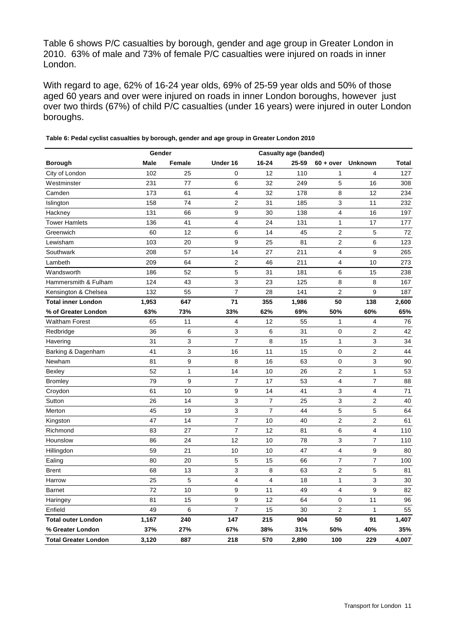Table 6 shows P/C casualties by borough, gender and age group in Greater London in 2010. 63% of male and 73% of female P/C casualties were injured on roads in inner London.

With regard to age, 62% of 16-24 year olds, 69% of 25-59 year olds and 50% of those aged 60 years and over were injured on roads in inner London boroughs, however just over two thirds (67%) of child P/C casualties (under 16 years) were injured in outer London boroughs.

|                             | Gender      |              | <b>Casualty age (banded)</b> |                |       |                |                |       |  |  |
|-----------------------------|-------------|--------------|------------------------------|----------------|-------|----------------|----------------|-------|--|--|
| <b>Borough</b>              | <b>Male</b> | Female       | Under 16                     | 16-24          | 25-59 | $60 + over$    | <b>Unknown</b> | Total |  |  |
| City of London              | 102         | 25           | 0                            | 12             | 110   | $\mathbf{1}$   | 4              | 127   |  |  |
| Westminster                 | 231         | 77           | 6                            | 32             | 249   | 5              | 16             | 308   |  |  |
| Camden                      | 173         | 61           | $\overline{4}$               | 32             | 178   | 8              | 12             | 234   |  |  |
| Islington                   | 158         | 74           | 2                            | 31             | 185   | 3              | 11             | 232   |  |  |
| Hackney                     | 131         | 66           | 9                            | 30             | 138   | 4              | 16             | 197   |  |  |
| <b>Tower Hamlets</b>        | 136         | 41           | $\overline{4}$               | 24             | 131   | $\mathbf{1}$   | 17             | 177   |  |  |
| Greenwich                   | 60          | 12           | 6                            | 14             | 45    | $\overline{2}$ | 5              | 72    |  |  |
| Lewisham                    | 103         | 20           | 9                            | 25             | 81    | $\overline{2}$ | 6              | 123   |  |  |
| Southwark                   | 208         | 57           | 14                           | 27             | 211   | 4              | 9              | 265   |  |  |
| Lambeth                     | 209         | 64           | 2                            | 46             | 211   | $\overline{4}$ | 10             | 273   |  |  |
| Wandsworth                  | 186         | 52           | 5                            | 31             | 181   | 6              | 15             | 238   |  |  |
| Hammersmith & Fulham        | 124         | 43           | 3                            | 23             | 125   | 8              | 8              | 167   |  |  |
| Kensington & Chelsea        | 132         | 55           | $\overline{7}$               | 28             | 141   | $\overline{2}$ | 9              | 187   |  |  |
| <b>Total inner London</b>   | 1,953       | 647          | 71                           | 355            | 1,986 | 50             | 138            | 2,600 |  |  |
| % of Greater London         | 63%         | 73%          | 33%                          | 62%            | 69%   | 50%            | 60%            | 65%   |  |  |
| <b>Waltham Forest</b>       | 65          | 11           | $\overline{4}$               | 12             | 55    | 1              | $\overline{4}$ | 76    |  |  |
| Redbridge                   | 36          | 6            | 3                            | 6              | 31    | 0              | 2              | 42    |  |  |
| Havering                    | 31          | 3            | $\overline{7}$               | 8              | 15    | 1              | 3              | 34    |  |  |
| Barking & Dagenham          | 41          | 3            | 16                           | 11             | 15    | 0              | 2              | 44    |  |  |
| Newham                      | 81          | 9            | 8                            | 16             | 63    | 0              | 3              | 90    |  |  |
| Bexley                      | 52          | $\mathbf{1}$ | 14                           | 10             | 26    | $\overline{c}$ | $\mathbf{1}$   | 53    |  |  |
| <b>Bromley</b>              | 79          | 9            | $\overline{7}$               | 17             | 53    | 4              | $\overline{7}$ | 88    |  |  |
| Croydon                     | 61          | 10           | 9                            | 14             | 41    | 3              | 4              | 71    |  |  |
| Sutton                      | 26          | 14           | 3                            | $\overline{7}$ | 25    | 3              | $\overline{2}$ | 40    |  |  |
| Merton                      | 45          | 19           | 3                            | $\overline{7}$ | 44    | 5              | 5              | 64    |  |  |
| Kingston                    | 47          | 14           | $\overline{7}$               | 10             | 40    | $\overline{2}$ | $\overline{2}$ | 61    |  |  |
| Richmond                    | 83          | 27           | $\overline{7}$               | 12             | 81    | 6              | 4              | 110   |  |  |
| Hounslow                    | 86          | 24           | 12                           | 10             | 78    | 3              | $\overline{7}$ | 110   |  |  |
| Hillingdon                  | 59          | 21           | 10                           | 10             | 47    | $\overline{4}$ | 9              | 80    |  |  |
| Ealing                      | 80          | 20           | 5                            | 15             | 66    | $\overline{7}$ | $\overline{7}$ | 100   |  |  |
| <b>Brent</b>                | 68          | 13           | 3                            | 8              | 63    | $\overline{c}$ | 5              | 81    |  |  |
| Harrow                      | 25          | 5            | $\overline{4}$               | $\overline{4}$ | 18    | $\mathbf{1}$   | 3              | 30    |  |  |
| <b>Barnet</b>               | 72          | 10           | 9                            | 11             | 49    | 4              | 9              | 82    |  |  |
| Haringey                    | 81          | 15           | 9                            | 12             | 64    | $\mathbf 0$    | 11             | 96    |  |  |
| Enfield                     | 49          | 6            | 7                            | 15             | 30    | $\overline{2}$ | 1              | 55    |  |  |
| <b>Total outer London</b>   | 1,167       | 240          | 147                          | 215            | 904   | 50             | 91             | 1,407 |  |  |
| % Greater London            | 37%         | 27%          | 67%                          | 38%            | 31%   | 50%            | 40%            | 35%   |  |  |
| <b>Total Greater London</b> | 3,120       | 887          | 218                          | 570            | 2,890 | 100            | 229            | 4,007 |  |  |

**Table 6: Pedal cyclist casualties by borough, gender and age group in Greater London 2010**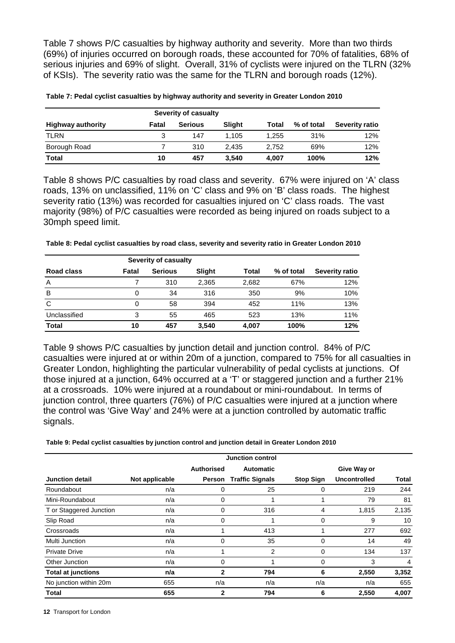Table 7 shows P/C casualties by highway authority and severity. More than two thirds (69%) of injuries occurred on borough roads, these accounted for 70% of fatalities, 68% of serious injuries and 69% of slight. Overall, 31% of cyclists were injured on the TLRN (32% of KSIs). The severity ratio was the same for the TLRN and borough roads (12%).

| <b>Highway authority</b> | Fatal | <b>Serious</b> | Slight | Total | % of total | Severity ratio |
|--------------------------|-------|----------------|--------|-------|------------|----------------|
| <b>TLRN</b>              | 3     | 147            | 1.105  | 1.255 | 31%        | 12%            |
| Borough Road             |       | 310            | 2.435  | 2.752 | 69%        | 12%            |
| Total                    | 10    | 457            | 3.540  | 4,007 | 100%       | 12%            |

**Table 7: Pedal cyclist casualties by highway authority and severity in Greater London 2010**

Table 8 shows P/C casualties by road class and severity. 67% were injured on 'A' class roads, 13% on unclassified, 11% on 'C' class and 9% on 'B' class roads. The highest severity ratio (13%) was recorded for casualties injured on 'C' class roads. The vast majority (98%) of P/C casualties were recorded as being injured on roads subject to a 30mph speed limit.

**Table 8: Pedal cyclist casualties by road class, severity and severity ratio in Greater London 2010**

|              |       | Severity of casualty |        |       |            |                |
|--------------|-------|----------------------|--------|-------|------------|----------------|
| Road class   | Fatal | <b>Serious</b>       | Slight | Total | % of total | Severity ratio |
| A            |       | 310                  | 2,365  | 2,682 | 67%        | 12%            |
| B            | 0     | 34                   | 316    | 350   | 9%         | 10%            |
| C            | 0     | 58                   | 394    | 452   | 11%        | 13%            |
| Unclassified | 3     | 55                   | 465    | 523   | 13%        | 11%            |
| <b>Total</b> | 10    | 457                  | 3,540  | 4.007 | 100%       | 12%            |

Table 9 shows P/C casualties by junction detail and junction control. 84% of P/C casualties were injured at or within 20m of a junction, compared to 75% for all casualties in Greater London, highlighting the particular vulnerability of pedal cyclists at junctions. Of those injured at a junction, 64% occurred at a 'T' or staggered junction and a further 21% at a crossroads. 10% were injured at a roundabout or mini-roundabout. In terms of junction control, three quarters (76%) of P/C casualties were injured at a junction where the control was 'Give Way' and 24% were at a junction controlled by automatic traffic signals.

**Table 9: Pedal cyclist casualties by junction control and junction detail in Greater London 2010**

|                           |                |                   | <b>Junction control</b> |                  |                     |       |
|---------------------------|----------------|-------------------|-------------------------|------------------|---------------------|-------|
|                           |                | <b>Authorised</b> | <b>Automatic</b>        |                  | Give Way or         |       |
| <b>Junction detail</b>    | Not applicable | Person            | <b>Traffic Signals</b>  | <b>Stop Sign</b> | <b>Uncontrolled</b> | Total |
| Roundabout                | n/a            | 0                 | 25                      | 0                | 219                 | 244   |
| Mini-Roundabout           | n/a            | 0                 | 1                       |                  | 79                  | 81    |
| T or Staggered Junction   | n/a            | 0                 | 316                     | 4                | 1,815               | 2,135 |
| Slip Road                 | n/a            | 0                 |                         | $\mathbf 0$      | 9                   | 10    |
| Crossroads                | n/a            |                   | 413                     |                  | 277                 | 692   |
| Multi Junction            | n/a            | 0                 | 35                      | 0                | 14                  | 49    |
| <b>Private Drive</b>      | n/a            |                   | $\overline{2}$          | 0                | 134                 | 137   |
| Other Junction            | n/a            | 0                 |                         | 0                | 3                   | 4     |
| <b>Total at junctions</b> | n/a            | 2                 | 794                     | 6                | 2,550               | 3,352 |
| No junction within 20m    | 655            | n/a               | n/a                     | n/a              | n/a                 | 655   |
| Total                     | 655            | 2                 | 794                     | 6                | 2,550               | 4,007 |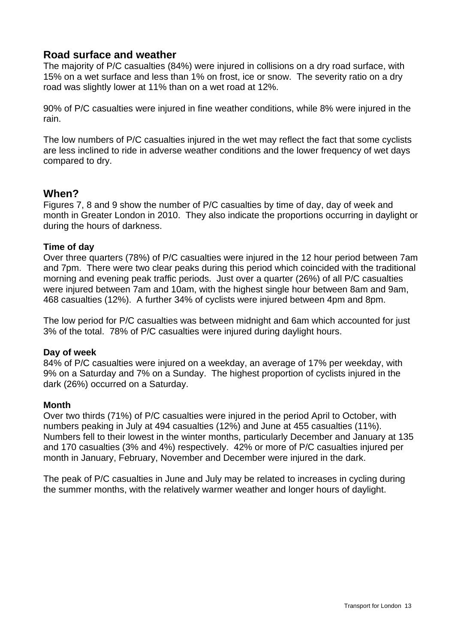# **Road surface and weather**

The majority of P/C casualties (84%) were injured in collisions on a dry road surface, with 15% on a wet surface and less than 1% on frost, ice or snow. The severity ratio on a dry road was slightly lower at 11% than on a wet road at 12%.

90% of P/C casualties were injured in fine weather conditions, while 8% were injured in the rain.

The low numbers of P/C casualties injured in the wet may reflect the fact that some cyclists are less inclined to ride in adverse weather conditions and the lower frequency of wet days compared to dry.

# **When?**

Figures 7, 8 and 9 show the number of P/C casualties by time of day, day of week and month in Greater London in 2010. They also indicate the proportions occurring in daylight or during the hours of darkness.

### **Time of day**

Over three quarters (78%) of P/C casualties were injured in the 12 hour period between 7am and 7pm. There were two clear peaks during this period which coincided with the traditional morning and evening peak traffic periods. Just over a quarter (26%) of all P/C casualties were injured between 7am and 10am, with the highest single hour between 8am and 9am, 468 casualties (12%). A further 34% of cyclists were injured between 4pm and 8pm.

The low period for P/C casualties was between midnight and 6am which accounted for just 3% of the total. 78% of P/C casualties were injured during daylight hours.

### **Day of week**

84% of P/C casualties were injured on a weekday, an average of 17% per weekday, with 9% on a Saturday and 7% on a Sunday. The highest proportion of cyclists injured in the dark (26%) occurred on a Saturday.

### **Month**

Over two thirds (71%) of P/C casualties were injured in the period April to October, with numbers peaking in July at 494 casualties (12%) and June at 455 casualties (11%). Numbers fell to their lowest in the winter months, particularly December and January at 135 and 170 casualties (3% and 4%) respectively. 42% or more of P/C casualties injured per month in January, February, November and December were injured in the dark.

The peak of P/C casualties in June and July may be related to increases in cycling during the summer months, with the relatively warmer weather and longer hours of daylight.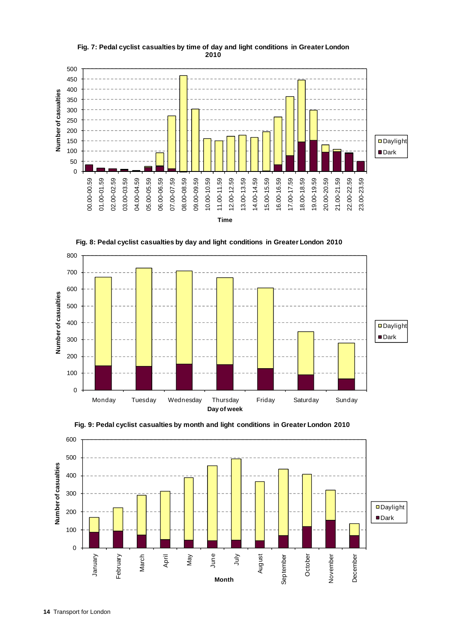

#### **Fig. 7: Pedal cyclist casualties by time of day and light conditions in Greater London 2010**







**Fig. 9: Pedal cyclist casualties by month and light conditions in Greater London 2010**

**Day of week**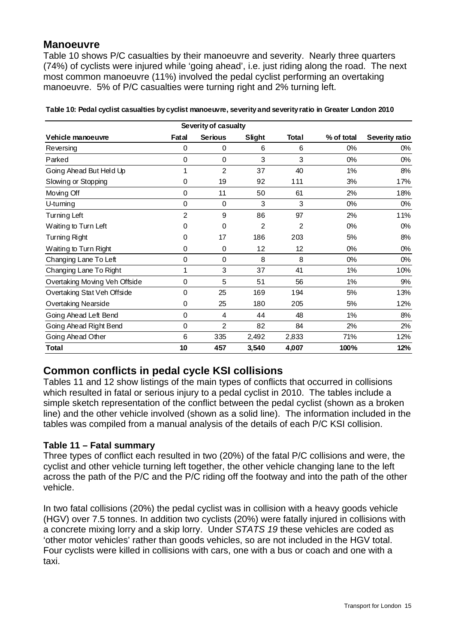# **Manoeuvre**

Table 10 shows P/C casualties by their manoeuvre and severity. Nearly three quarters (74%) of cyclists were injured while 'going ahead', i.e. just riding along the road. The next most common manoeuvre (11%) involved the pedal cyclist performing an overtaking manoeuvre. 5% of P/C casualties were turning right and 2% turning left.

|                               |                | Severity of casualty |                |                |            |                |
|-------------------------------|----------------|----------------------|----------------|----------------|------------|----------------|
| Vehicle manoeuvre             | Fatal          | <b>Serious</b>       | Slight         | Total          | % of total | Severity ratio |
| Reversing                     | 0              | 0                    | 6              | 6              | 0%         | 0%             |
| Parked                        | $\pmb{0}$      | 0                    | 3              | 3              | $0\%$      | $0\%$          |
| Going Ahead But Held Up       | 1              | 2                    | 37             | 40             | 1%         | 8%             |
| Slowing or Stopping           | 0              | 19                   | 92             | 111            | 3%         | 17%            |
| Moving Off                    | 0              | 11                   | 50             | 61             | 2%         | 18%            |
| U-turning                     | 0              | 0                    | 3              | 3              | 0%         | 0%             |
| Turning Left                  | $\overline{2}$ | 9                    | 86             | 97             | 2%         | 11%            |
| Waiting to Turn Left          | 0              | 0                    | $\overline{2}$ | $\overline{2}$ | $0\%$      | $0\%$          |
| Turning Right                 | $\pmb{0}$      | 17                   | 186            | 203            | 5%         | 8%             |
| Waiting to Turn Right         | 0              | 0                    | 12             | 12             | 0%         | $0\%$          |
| Changing Lane To Left         | 0              | 0                    | 8              | 8              | 0%         | 0%             |
| Changing Lane To Right        | 1              | 3                    | 37             | 41             | $1\%$      | 10%            |
| Overtaking Moving Veh Offside | $\pmb{0}$      | 5                    | 51             | 56             | 1%         | 9%             |
| Overtaking Stat Veh Offside   | 0              | 25                   | 169            | 194            | 5%         | 13%            |
| <b>Overtaking Nearside</b>    | 0              | 25                   | 180            | 205            | 5%         | 12%            |
| Going Ahead Left Bend         | 0              | 4                    | 44             | 48             | 1%         | 8%             |
| Going Ahead Right Bend        | 0              | 2                    | 82             | 84             | 2%         | 2%             |
| Going Ahead Other             | 6              | 335                  | 2,492          | 2,833          | 71%        | 12%            |
| <b>Total</b>                  | 10             | 457                  | 3,540          | 4,007          | 100%       | 12%            |

**Table 10: Pedal cyclist casualties by cyclist manoeuvre, severity and severity ratio in Greater London 2010**

# **Common conflicts in pedal cycle KSI collisions**

Tables 11 and 12 show listings of the main types of conflicts that occurred in collisions which resulted in fatal or serious injury to a pedal cyclist in 2010. The tables include a simple sketch representation of the conflict between the pedal cyclist (shown as a broken line) and the other vehicle involved (shown as a solid line). The information included in the tables was compiled from a manual analysis of the details of each P/C KSI collision.

### **Table 11 – Fatal summary**

Three types of conflict each resulted in two (20%) of the fatal P/C collisions and were, the cyclist and other vehicle turning left together, the other vehicle changing lane to the left across the path of the P/C and the P/C riding off the footway and into the path of the other vehicle.

In two fatal collisions (20%) the pedal cyclist was in collision with a heavy goods vehicle (HGV) over 7.5 tonnes. In addition two cyclists (20%) were fatally injured in collisions with a concrete mixing lorry and a skip lorry. Under *STATS 19* these vehicles are coded as 'other motor vehicles' rather than goods vehicles, so are not included in the HGV total. Four cyclists were killed in collisions with cars, one with a bus or coach and one with a taxi.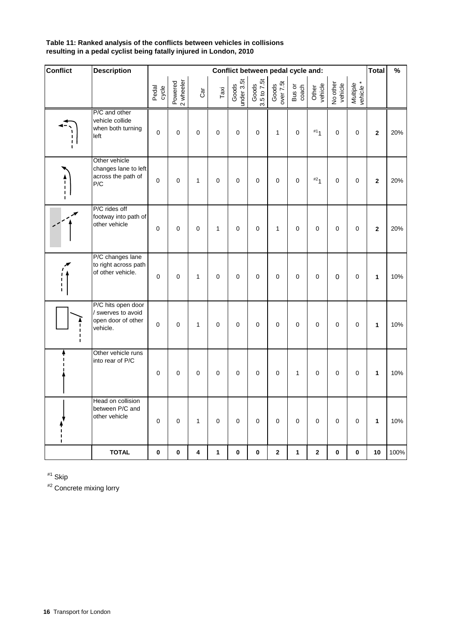#### **Table 11: Ranked analysis of the conflicts between vehicles in collisions resulting in a pedal cyclist being fatally injured in London, 2010**

| <b>Conflict</b>                             | <b>Description</b>                                                         |                |                      |                |              |                     |                      | Conflict between pedal cycle and: |                 |                  |                     |                       | <b>Total</b>   | $\%$ |
|---------------------------------------------|----------------------------------------------------------------------------|----------------|----------------------|----------------|--------------|---------------------|----------------------|-----------------------------------|-----------------|------------------|---------------------|-----------------------|----------------|------|
|                                             |                                                                            | Pedal<br>cycle | 2 wheeler<br>Powered | Car            | Taxi         | Goods<br>under 3.5t | Goods<br>3.5 to 7.5t | Goods<br>over 7.5t                | Bus or<br>coach | Other<br>vehicle | No other<br>vehicle | Multiple<br>vehicle * |                |      |
|                                             | P/C and other<br>vehicle collide<br>when both turning<br>left              | $\mathbf 0$    | $\mathbf 0$          | 0              | 0            | 0                   | 0                    | $\mathbf{1}$                      | $\mathbf 0$     | #1 <sub>1</sub>  | $\mathbf 0$         | $\mathsf 0$           | $\overline{2}$ | 20%  |
| $\begin{bmatrix} 1 \\ 1 \end{bmatrix}$      | Other vehicle<br>changes lane to left<br>across the path of<br>P/C         | 0              | $\mathbf 0$          | $\mathbf{1}$   | 0            | 0                   | 0                    | 0                                 | $\mathbf 0$     | #2 <sub>1</sub>  | 0                   | 0                     | $\mathbf{2}$   | 20%  |
|                                             | P/C rides off<br>footway into path of<br>other vehicle                     | $\overline{0}$ | $\Omega$             | $\overline{0}$ | $\mathbf{1}$ | $\Omega$            | $\Omega$             | 1                                 | $\mathbf 0$     | $\mathbf 0$      | 0                   | 0                     | $\mathbf 2$    | 20%  |
| $\begin{bmatrix} 1 \\ 1 \\ 1 \end{bmatrix}$ | P/C changes lane<br>to right across path<br>of other vehicle.              | $\mathbf 0$    | $\mathbf 0$          | $\mathbf{1}$   | 0            | 0                   | 0                    | 0                                 | $\pmb{0}$       | $\mathbf 0$      | $\mathbf 0$         | $\mathsf 0$           | $\mathbf{1}$   | 10%  |
| I.<br>$\mathbf I$                           | P/C hits open door<br>/ swerves to avoid<br>open door of other<br>vehicle. | $\mathbf 0$    | $\mathbf 0$          | $\mathbf{1}$   | $\mathbf 0$  | 0                   | $\mathbf 0$          | $\mathbf 0$                       | 0               | $\mathbf 0$      | $\pmb{0}$           | $\mathbf 0$           | 1              | 10%  |
|                                             | Other vehicle runs<br>into rear of P/C                                     | $\pmb{0}$      | $\mathbf 0$          | $\mathbf 0$    | $\mathbf 0$  | $\mathbf 0$         | $\mathbf 0$          | $\mathbf 0$                       | $\mathbf{1}$    | $\mathbf 0$      | $\pmb{0}$           | $\mathsf 0$           | 1              | 10%  |
| п<br>$\blacksquare$                         | Head on collision<br>between P/C and<br>other vehicle                      | $\mathbf 0$    | $\mathbf 0$          | $\mathbf{1}$   | $\mathbf 0$  | $\mathbf 0$         | 0                    | $\mathbf 0$                       | $\mathbf 0$     | $\mathbf 0$      | 0                   | 0                     | $\mathbf{1}$   | 10%  |
|                                             | <b>TOTAL</b>                                                               | 0              | $\mathbf 0$          | 4              | 1            | 0                   | 0                    | $\mathbf{2}$                      | 1               | $\mathbf 2$      | 0                   | 0                     | 10             | 100% |

#1 Skip

#2 Concrete mixing lorry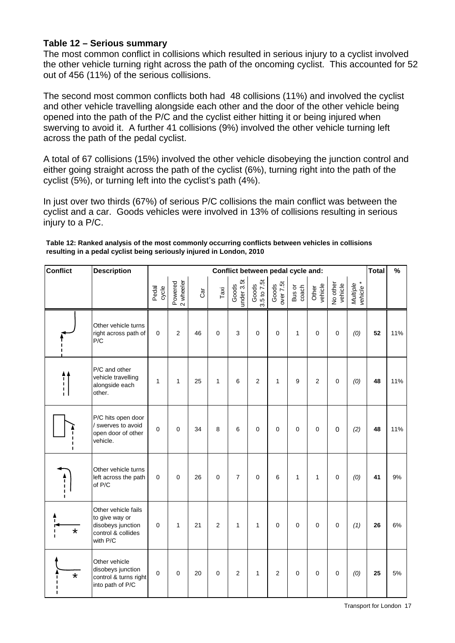### **Table 12 – Serious summary**

The most common conflict in collisions which resulted in serious injury to a cyclist involved the other vehicle turning right across the path of the oncoming cyclist. This accounted for 52 out of 456 (11%) of the serious collisions.

The second most common conflicts both had 48 collisions (11%) and involved the cyclist and other vehicle travelling alongside each other and the door of the other vehicle being opened into the path of the P/C and the cyclist either hitting it or being injured when swerving to avoid it. A further 41 collisions (9%) involved the other vehicle turning left across the path of the pedal cyclist.

A total of 67 collisions (15%) involved the other vehicle disobeying the junction control and either going straight across the path of the cyclist (6%), turning right into the path of the cyclist (5%), or turning left into the cyclist's path (4%).

In just over two thirds (67%) of serious P/C collisions the main conflict was between the cyclist and a car. Goods vehicles were involved in 13% of collisions resulting in serious injury to a P/C.

| Table 12: Ranked analysis of the most commonly occurring conflicts between vehicles in collisions |
|---------------------------------------------------------------------------------------------------|
| resulting in a pedal cyclist being seriously injured in London, 2010                              |
|                                                                                                   |

| <b>Conflict</b>                 | <b>Description</b>                                                                           |                |                      |     |                |                     |                      | Conflict between pedal cycle and: |                 |                  |                     |                       | <b>Total</b> | $\%$ |
|---------------------------------|----------------------------------------------------------------------------------------------|----------------|----------------------|-----|----------------|---------------------|----------------------|-----------------------------------|-----------------|------------------|---------------------|-----------------------|--------------|------|
|                                 |                                                                                              | Pedal<br>cycle | 2 wheeler<br>Powered | Car | Taxi           | under 3.5t<br>Goods | Goods<br>3.5 to 7.5t | over 7.5t<br>Goods                | Bus or<br>coach | Other<br>vehicle | No other<br>vehicle | Multiple<br>vehicle * |              |      |
|                                 | Other vehicle turns<br>right across path of<br>P/C                                           | 0              | $\overline{c}$       | 46  | $\mathbf 0$    | 3                   | $\mathbf 0$          | $\mathbf 0$                       | $\mathbf{1}$    | $\mathbf 0$      | $\pmb{0}$           | (0)                   | 52           | 11%  |
| $\prod_{i=1}^{n}$               | P/C and other<br>vehicle travelling<br>alongside each<br>other.                              | $\mathbf{1}$   | $\mathbf{1}$         | 25  | $\mathbf{1}$   | 6                   | $\overline{c}$       | $\mathbf{1}$                      | 9               | $\overline{2}$   | $\mathbf 0$         | (0)                   | 48           | 11%  |
|                                 | P/C hits open door<br>/ swerves to avoid<br>open door of other<br>vehicle.                   | $\overline{0}$ | $\overline{0}$       | 34  | 8              | 6                   | $\mathbf 0$          | $\mathbf 0$                       | 0               | $\mathbf 0$      | $\mathbf 0$         | (2)                   | 48           | 11%  |
| $\frac{1}{1}$<br>$\blacksquare$ | Other vehicle turns<br>left across the path<br>of P/C                                        | $\Omega$       | $\mathbf 0$          | 26  | $\mathbf 0$    | $\overline{7}$      | $\mathbf 0$          | 6                                 | $\mathbf{1}$    | $\mathbf{1}$     | $\pmb{0}$           | (0)                   | 41           | 9%   |
| $\star$                         | Other vehicle fails<br>to give way or<br>disobeys junction<br>control & collides<br>with P/C | 0              | $\mathbf{1}$         | 21  | $\overline{2}$ | 1                   | $\mathbf{1}$         | $\mathbf 0$                       | 0               | $\mathbf 0$      | $\pmb{0}$           | (1)                   | 26           | 6%   |
| $\star$<br>п<br>п               | Other vehicle<br>disobeys junction<br>control & turns right<br>into path of P/C              | $\Omega$       | $\Omega$             | 20  | $\mathbf 0$    | 2                   | $\mathbf{1}$         | $\overline{2}$                    | 0               | $\mathbf 0$      | $\mathbf 0$         | (0)                   | 25           | 5%   |

Transport for London 17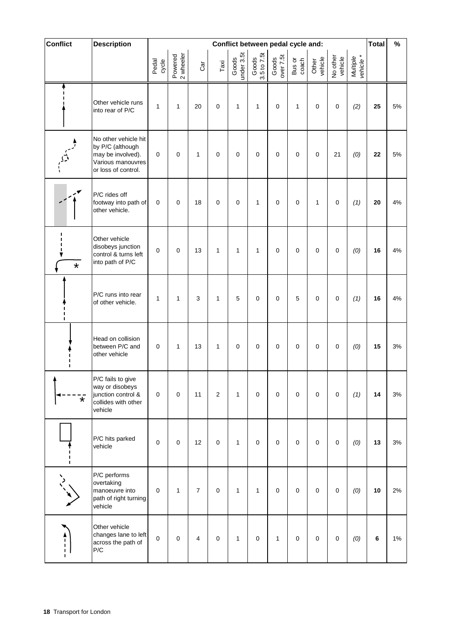| Conflict      | <b>Description</b>                                                                                        | Conflict between pedal cycle and: |                      |                |                 |                     |                      |                    | <b>Total</b>    | $\%$             |                     |                       |         |       |
|---------------|-----------------------------------------------------------------------------------------------------------|-----------------------------------|----------------------|----------------|-----------------|---------------------|----------------------|--------------------|-----------------|------------------|---------------------|-----------------------|---------|-------|
|               |                                                                                                           | Pedal<br>cycle                    | 2 wheeler<br>Powered | Car            | $\mathsf{Taxi}$ | Goods<br>under 3.5t | Goods<br>3.5 to 7.5t | Goods<br>over 7.5t | Bus or<br>coach | Other<br>vehicle | No other<br>vehicle | Multiple<br>vehicle * |         |       |
|               | Other vehicle runs<br>into rear of P/C                                                                    | $\mathbf{1}$                      | $\mathbf{1}$         | 20             | $\pmb{0}$       | 1                   | 1                    | 0                  | $\mathbf{1}$    | $\mathbf 0$      | 0                   | (2)                   | 25      | 5%    |
|               | No other vehicle hit<br>by P/C (although<br>may be involved).<br>Various manouvres<br>or loss of control. | $\pmb{0}$                         | 0                    | 1              | $\mathbf 0$     | 0                   | $\mathbf 0$          | 0                  | $\pmb{0}$       | $\pmb{0}$        | 21                  | (0)                   | 22      | 5%    |
|               | P/C rides off<br>footway into path of<br>other vehicle.                                                   | $\mathbf 0$                       | 0                    | 18             | $\mathbf 0$     | 0                   | 1                    | 0                  | $\mathbf 0$     | 1                | 0                   | (1)                   | 20      | 4%    |
| $\star$       | Other vehicle<br>disobeys junction<br>control & turns left<br>into path of P/C                            | $\mathbf 0$                       | 0                    | 13             | 1               | 1                   | 1                    | 0                  | $\pmb{0}$       | $\pmb{0}$        | $\mathbf 0$         | (0)                   | 16      | 4%    |
|               | P/C runs into rear<br>of other vehicle.                                                                   | $\mathbf{1}$                      | $\mathbf{1}$         | 3              | 1               | 5                   | $\pmb{0}$            | 0                  | 5               | $\mathbf 0$      | $\mathbf 0$         | (1)                   | 16      | 4%    |
|               | Head on collision<br>between P/C and<br>other vehicle                                                     | $\mathbf 0$                       | 1                    | 13             | 1               | 0                   | $\mathbf 0$          | 0                  | $\pmb{0}$       | $\pmb{0}$        | 0                   | (0)                   | 15      | 3%    |
| ¥             | P/C fails to give<br>way or disobeys<br>junction control &<br>collides with other<br>vehicle              | $\pmb{0}$                         | 0                    | 11             | 2               | $\mathbf{1}$        | $\pmb{0}$            | 0                  | $\pmb{0}$       | $\pmb{0}$        | $\mathbf 0$         | (1)                   | 14      | $3%$  |
| ı             | P/C hits parked<br>vehicle                                                                                | $\pmb{0}$                         | 0                    | 12             | $\pmb{0}$       | 1                   | $\pmb{0}$            | 0                  | $\pmb{0}$       | $\pmb{0}$        | $\pmb{0}$           | (0)                   | 13      | $3%$  |
|               | P/C performs<br>overtaking<br>manoeuvre into<br>path of right turning<br>vehicle                          | $\pmb{0}$                         | $\mathbf{1}$         | $\overline{7}$ | $\mathbf 0$     | 1                   | 1                    | $\mathbf 0$        | $\pmb{0}$       | $\pmb{0}$        | $\pmb{0}$           | (0)                   | 10      | 2%    |
| $\frac{1}{1}$ | Other vehicle<br>changes lane to left<br>across the path of<br>P/C                                        | $\pmb{0}$                         | 0                    | 4              | $\mathbf 0$     | 1                   | $\pmb{0}$            | $\mathbf{1}$       | $\pmb{0}$       | $\pmb{0}$        | $\pmb{0}$           | (0)                   | $\bf 6$ | $1\%$ |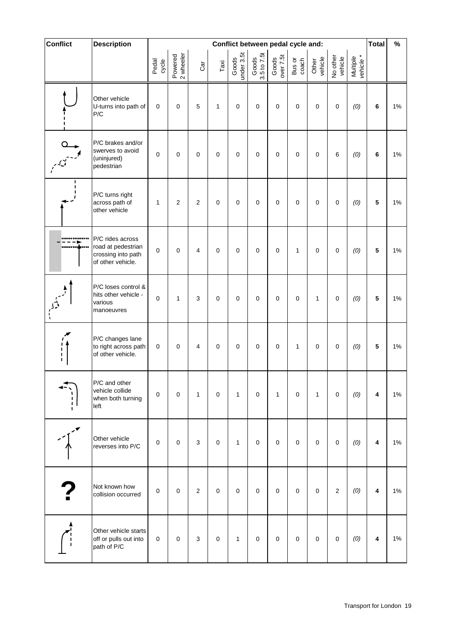| Conflict           | <b>Description</b>                                                                | Conflict between pedal cycle and: |                      |                |              |                     |                      |                    | Total           | $\%$             |                     |                       |                         |    |
|--------------------|-----------------------------------------------------------------------------------|-----------------------------------|----------------------|----------------|--------------|---------------------|----------------------|--------------------|-----------------|------------------|---------------------|-----------------------|-------------------------|----|
|                    |                                                                                   | Pedal<br>cycle                    | 2 wheeler<br>Powered | Car            | Taxi         | Goods<br>under 3.5t | Goods<br>3.5 to 7.5t | Goods<br>over 7.5t | Bus or<br>coach | Other<br>vehicle | No other<br>vehicle | Multiple<br>vehicle * |                         |    |
|                    | Other vehicle<br>U-turns into path of<br>P/C                                      | $\pmb{0}$                         | $\pmb{0}$            | $\overline{5}$ | $\mathbf{1}$ | $\pmb{0}$           | $\pmb{0}$            | $\boldsymbol{0}$   | $\mathbf 0$     | $\pmb{0}$        | $\pmb{0}$           | (0)                   | $\bf 6$                 | 1% |
|                    | P/C brakes and/or<br>swerves to avoid<br>(uninjured)<br>pedestrian                | $\pmb{0}$                         | $\mathbf 0$          | $\pmb{0}$      | $\mathbf 0$  | $\mathbf 0$         | $\pmb{0}$            | $\pmb{0}$          | $\mathbf 0$     | $\mathbf 0$      | $\,6$               | (0)                   | $\bf 6$                 | 1% |
| п<br>$\mathbf I$   | P/C turns right<br>across path of<br>other vehicle                                | $\mathbf{1}$                      | $\overline{2}$       | 2              | $\mathbf 0$  | $\mathbf 0$         | $\mathbf 0$          | $\mathbf 0$        | $\pmb{0}$       | $\mathbf 0$      | $\pmb{0}$           | (0)                   | $\sqrt{5}$              | 1% |
|                    | P/C rides across<br>road at pedestrian<br>crossing into path<br>of other vehicle. | $\pmb{0}$                         | $\mathbf 0$          | $\overline{4}$ | $\pmb{0}$    | $\pmb{0}$           | $\pmb{0}$            | $\mathbf 0$        | $\mathbf{1}$    | $\pmb{0}$        | $\pmb{0}$           | (0)                   | $\overline{\mathbf{5}}$ | 1% |
|                    | P/C loses control &<br>hits other vehicle -<br>various<br>manoeuvres              | $\mathbf 0$                       | $\mathbf{1}$         | 3              | $\mathbf 0$  | $\mathbf 0$         | $\pmb{0}$            | $\pmb{0}$          | $\pmb{0}$       | $\mathbf{1}$     | $\pmb{0}$           | (0)                   | 5                       | 1% |
| ı<br>$\frac{1}{1}$ | P/C changes lane<br>to right across path<br>of other vehicle.                     | $\pmb{0}$                         | $\mathbf 0$          | 4              | $\mathbf 0$  | $\mathbf 0$         | $\mathbf 0$          | $\mathbf 0$        | 1               | $\mathbf 0$      | $\pmb{0}$           | (0)                   | $\sqrt{5}$              | 1% |
| $\frac{1}{1}$      | P/C and other<br>vehicle collide<br>when both turning<br>left                     | $\pmb{0}$                         | $\pmb{0}$            | $\mathbf{1}$   | $\mathbf 0$  | 1                   | $\pmb{0}$            | $\mathbf{1}$       | $\pmb{0}$       | $\mathbf{1}$     | $\pmb{0}$           | (0)                   | 4                       | 1% |
|                    | Other vehicle<br>reverses into P/C                                                | $\pmb{0}$                         | $\mathbf 0$          | 3              | $\mathbf 0$  | 1                   | $\mathbf 0$          | $\pmb{0}$          | $\pmb{0}$       | $\pmb{0}$        | $\pmb{0}$           | (0)                   | 4                       | 1% |
|                    | Not known how<br>collision occurred                                               | $\pmb{0}$                         | $\mathbf 0$          | $\overline{2}$ | $\mathbf 0$  | $\mathbf 0$         | $\mathbf 0$          | $\mathbf 0$        | $\mathbf 0$     | $\mathbf 0$      | $\sqrt{2}$          | (0)                   | 4                       | 1% |
|                    | Other vehicle starts<br>off or pulls out into<br>path of P/C                      | $\pmb{0}$                         | $\pmb{0}$            | $\mathbf{3}$   | $\mathbf 0$  | $\mathbf{1}$        | $\pmb{0}$            | $\pmb{0}$          | $\mathsf 0$     | $\pmb{0}$        | $\pmb{0}$           | (0)                   | 4                       | 1% |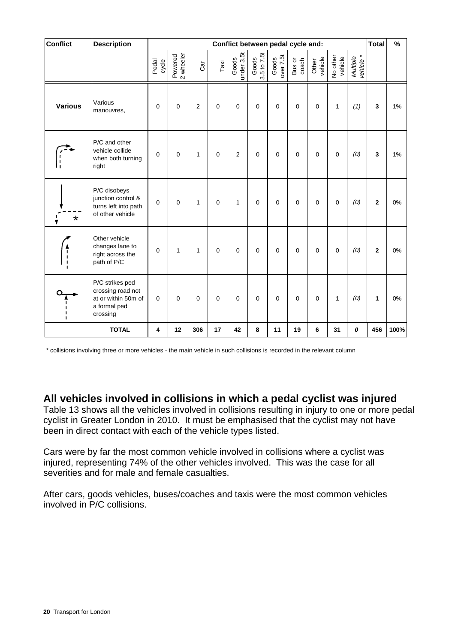| <b>Conflict</b>                 | <b>Description</b>                                                                      |                |                      |                |             |                     |                      |                    | Conflict between pedal cycle and: |                  |                     |                       | <b>Total</b>            | $\%$ |
|---------------------------------|-----------------------------------------------------------------------------------------|----------------|----------------------|----------------|-------------|---------------------|----------------------|--------------------|-----------------------------------|------------------|---------------------|-----------------------|-------------------------|------|
|                                 |                                                                                         | Pedal<br>cycle | 2 wheeler<br>Powered | Cār            | Taxi        | under 3.5t<br>Goods | 3.5 to 7.5t<br>Goods | Goods<br>over 7.5t | Bus or<br>coach                   | Other<br>vehicle | No other<br>vehicle | vehicle *<br>Multiple |                         |      |
| <b>Various</b>                  | Various<br>manouvres,                                                                   | $\mathbf 0$    | $\mathbf 0$          | $\overline{2}$ | $\mathbf 0$ | $\mathbf 0$         | $\mathbf 0$          | $\mathbf 0$        | $\mathbf 0$                       | $\pmb{0}$        | 1                   | (1)                   | 3                       | 1%   |
| í.                              | P/C and other<br>vehicle collide<br>when both turning<br>right                          | $\mathbf 0$    | $\mathbf 0$          | $\mathbf{1}$   | $\pmb{0}$   | $\overline{2}$      | $\mathbf 0$          | $\mathbf 0$        | $\pmb{0}$                         | $\pmb{0}$        | $\pmb{0}$           | (0)                   | 3                       | 1%   |
| $\star$<br>v                    | P/C disobeys<br>junction control &<br>turns left into path<br>of other vehicle          | $\overline{0}$ | $\mathbf 0$          | $\mathbf{1}$   | $\pmb{0}$   | 1                   | $\mathbf 0$          | $\mathbf 0$        | $\mathbf 0$                       | $\pmb{0}$        | $\pmb{0}$           | (0)                   | $\overline{\mathbf{2}}$ | 0%   |
| $\frac{1}{1}$<br>$\blacksquare$ | Other vehicle<br>changes lane to<br>right across the<br>path of P/C                     | $\mathbf 0$    | 1                    | $\mathbf{1}$   | $\mathbf 0$ | $\mathbf 0$         | $\mathbf 0$          | $\mathbf 0$        | $\mathbf 0$                       | $\mathbf 0$      | $\overline{0}$      | (0)                   | $\mathbf 2$             | 0%   |
| $\blacksquare$                  | P/C strikes ped<br>crossing road not<br>at or within 50m of<br>a formal ped<br>crossing | $\mathbf 0$    | $\mathbf 0$          | $\mathbf 0$    | $\mathbf 0$ | $\mathbf 0$         | $\mathbf 0$          | $\mathbf 0$        | $\mathbf 0$                       | $\mathbf 0$      | $\mathbf{1}$        | (0)                   | 1                       | 0%   |
|                                 | <b>TOTAL</b>                                                                            | 4              | 12                   | 306            | 17          | 42                  | 8                    | 11                 | 19                                | 6                | 31                  | 0                     | 456                     | 100% |

\* collisions involving three or more vehicles - the main vehicle in such collisions is recorded in the relevant column

**All vehicles involved in collisions in which a pedal cyclist was injured** 

Table 13 shows all the vehicles involved in collisions resulting in injury to one or more pedal cyclist in Greater London in 2010. It must be emphasised that the cyclist may not have been in direct contact with each of the vehicle types listed.

Cars were by far the most common vehicle involved in collisions where a cyclist was injured, representing 74% of the other vehicles involved. This was the case for all severities and for male and female casualties.

After cars, goods vehicles, buses/coaches and taxis were the most common vehicles involved in P/C collisions.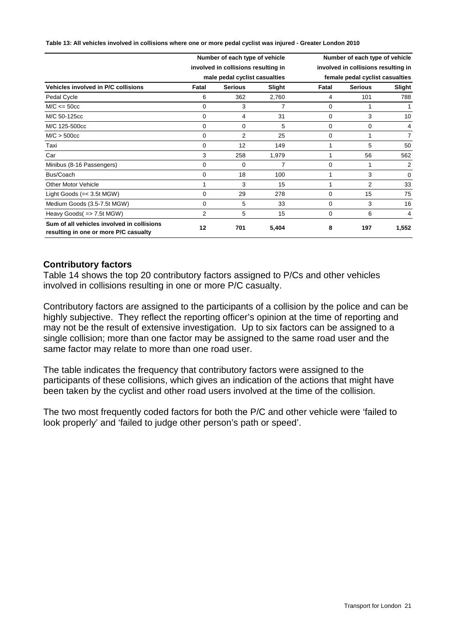**Table 13: All vehicles involved in collisions where one or more pedal cyclist was injured - Greater London 2010**

|                                                                                     |                | Number of each type of vehicle      |        | Number of each type of vehicle      |                |          |  |  |
|-------------------------------------------------------------------------------------|----------------|-------------------------------------|--------|-------------------------------------|----------------|----------|--|--|
|                                                                                     |                | involved in collisions resulting in |        | involved in collisions resulting in |                |          |  |  |
|                                                                                     |                | male pedal cyclist casualties       |        | female pedal cyclist casualties     |                |          |  |  |
| Vehicles involved in P/C collisions                                                 | Fatal          | <b>Serious</b>                      | Slight | Fatal                               | <b>Serious</b> | Slight   |  |  |
| Pedal Cycle                                                                         | 6              | 362                                 | 2,760  | 4                                   | 101            | 788      |  |  |
| $M/C \le 50cc$                                                                      | 0              | 3                                   | 7      | 0                                   |                |          |  |  |
| M/C 50-125cc                                                                        | $\mathbf 0$    | 4                                   | 31     | 0                                   | 3              | 10       |  |  |
| M/C 125-500cc                                                                       | 0              | 0                                   | 5      | 0                                   | 0              | 4        |  |  |
| M/C > 500cc                                                                         | $\mathbf 0$    | $\overline{2}$                      | 25     | $\Omega$                            |                | 7        |  |  |
| Taxi                                                                                | $\mathbf 0$    | 12                                  | 149    |                                     | 5              | 50       |  |  |
| Car                                                                                 | 3              | 258                                 | 1,979  |                                     | 56             | 562      |  |  |
| Minibus (8-16 Passengers)                                                           | 0              | 0                                   | 7      | 0                                   |                | 2        |  |  |
| Bus/Coach                                                                           | 0              | 18                                  | 100    |                                     | 3              | $\Omega$ |  |  |
| <b>Other Motor Vehicle</b>                                                          |                | 3                                   | 15     |                                     | $\overline{2}$ | 33       |  |  |
| Light Goods $(=< 3.5t MGW)$                                                         | 0              | 29                                  | 278    | 0                                   | 15             | 75       |  |  |
| Medium Goods (3.5-7.5t MGW)                                                         | 0              | 5                                   | 33     | 0                                   | 3              | 16       |  |  |
| Heavy Goods( => 7.5t MGW)                                                           | $\overline{2}$ | 5                                   | 15     | 0                                   | 6              | 4        |  |  |
| Sum of all vehicles involved in collisions<br>resulting in one or more P/C casualty | 12             | 701                                 | 5,404  | 8                                   | 197            | 1,552    |  |  |

#### **Contributory factors**

Table 14 shows the top 20 contributory factors assigned to P/Cs and other vehicles involved in collisions resulting in one or more P/C casualty.

Contributory factors are assigned to the participants of a collision by the police and can be highly subjective. They reflect the reporting officer's opinion at the time of reporting and may not be the result of extensive investigation. Up to six factors can be assigned to a single collision; more than one factor may be assigned to the same road user and the same factor may relate to more than one road user.

The table indicates the frequency that contributory factors were assigned to the participants of these collisions, which gives an indication of the actions that might have been taken by the cyclist and other road users involved at the time of the collision.

The two most frequently coded factors for both the P/C and other vehicle were 'failed to look properly' and 'failed to judge other person's path or speed'.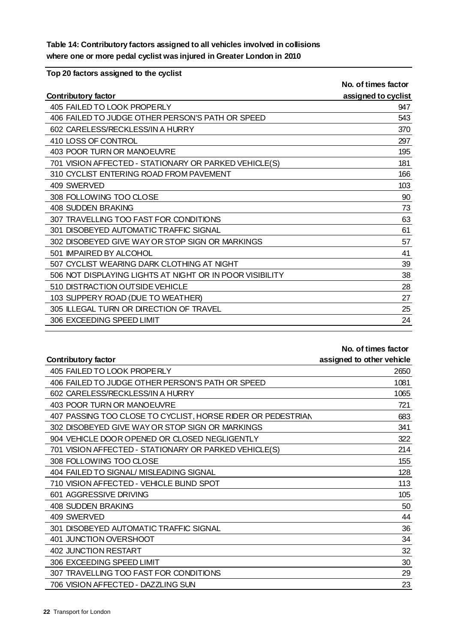**Table 14: Contributory factors assigned to all vehicles involved in collisions where one or more pedal cyclist was injured in Greater London in 2010**

**Top 20 factors assigned to the cyclist**

|                                                          | No. of times factor |
|----------------------------------------------------------|---------------------|
| <b>Contributory factor</b>                               | assigned to cyclist |
| 405 FAILED TO LOOK PROPERLY                              | 947                 |
| 406 FAILED TO JUDGE OTHER PERSON'S PATH OR SPEED         | 543                 |
| 602 CARELESS/RECKLESS/IN A HURRY                         | 370                 |
| 410 LOSS OF CONTROL                                      | 297                 |
| 403 POOR TURN OR MANOEUVRE                               | 195                 |
| 701 VISION AFFECTED - STATIONARY OR PARKED VEHICLE(S)    | 181                 |
| 310 CYCLIST ENTERING ROAD FROM PAVEMENT                  | 166                 |
| 409 SWERVED                                              | 103                 |
| 308 FOLLOWING TOO CLOSE                                  | 90                  |
| 408 SUDDEN BRAKING                                       | 73                  |
| 307 TRAVELLING TOO FAST FOR CONDITIONS                   | 63                  |
| 301 DISOBEYED AUTOMATIC TRAFFIC SIGNAL                   | 61                  |
| 302 DISOBEYED GIVE WAY OR STOP SIGN OR MARKINGS          | 57                  |
| 501 IMPAIRED BY ALCOHOL                                  | 41                  |
| 507 CYCLIST WEARING DARK CLOTHING AT NIGHT               | 39                  |
| 506 NOT DISPLAYING LIGHTS AT NIGHT OR IN POOR VISIBILITY | 38                  |
| 510 DISTRACTION OUTSIDE VEHICLE                          | 28                  |
| 103 SUPPERY ROAD (DUE TO WEATHER)                        | 27                  |
| 305 ILLEGAL TURN OR DIRECTION OF TRAVEL                  | 25                  |
| 306 EXCEEDING SPEED LIMIT                                | 24                  |

#### **No. of times factor**

| Contributory factor                                         | assigned to other vehicle |
|-------------------------------------------------------------|---------------------------|
| 405 FAILED TO LOOK PROPERLY                                 | 2650                      |
| 406 FAILED TO JUDGE OTHER PERSON'S PATH OR SPEED            | 1081                      |
| 602 CARELESS/RECKLESS/IN A HURRY                            | 1065                      |
| 403 POOR TURN OR MANOEUVRE                                  | 721                       |
| 407 PASSING TOO CLOSE TO CYCLIST, HORSE RIDER OR PEDESTRIAN | 683                       |
| 302 DISOBEYED GIVE WAY OR STOP SIGN OR MARKINGS             | 341                       |
| 904 VEHICLE DOOR OPENED OR CLOSED NEGLIGENTLY               | 322                       |
| 701 VISION AFFECTED - STATIONARY OR PARKED VEHICLE(S)       | 214                       |
| 308 FOLLOWING TOO CLOSE                                     | 155                       |
| 404 FAILED TO SIGNAL/ MISLEADING SIGNAL                     | 128                       |
| 710 VISION AFFECTED - VEHICLE BLIND SPOT                    | 113                       |
| 601 AGGRESSIVE DRIVING                                      | 105                       |
| 408 SUDDEN BRAKING                                          | 50                        |
| 409 SWERVED                                                 | 44                        |
| 301 DISOBEYED AUTOMATIC TRAFFIC SIGNAL                      | 36                        |
| 401 JUNCTION OVERSHOOT                                      | 34                        |
| <b>402 JUNCTION RESTART</b>                                 | 32                        |
| 306 EXCEEDING SPEED LIMIT                                   | 30                        |
| 307 TRAVELLING TOO FAST FOR CONDITIONS                      | 29                        |
| 706 VISION AFFECTED - DAZZLING SUN                          | 23                        |